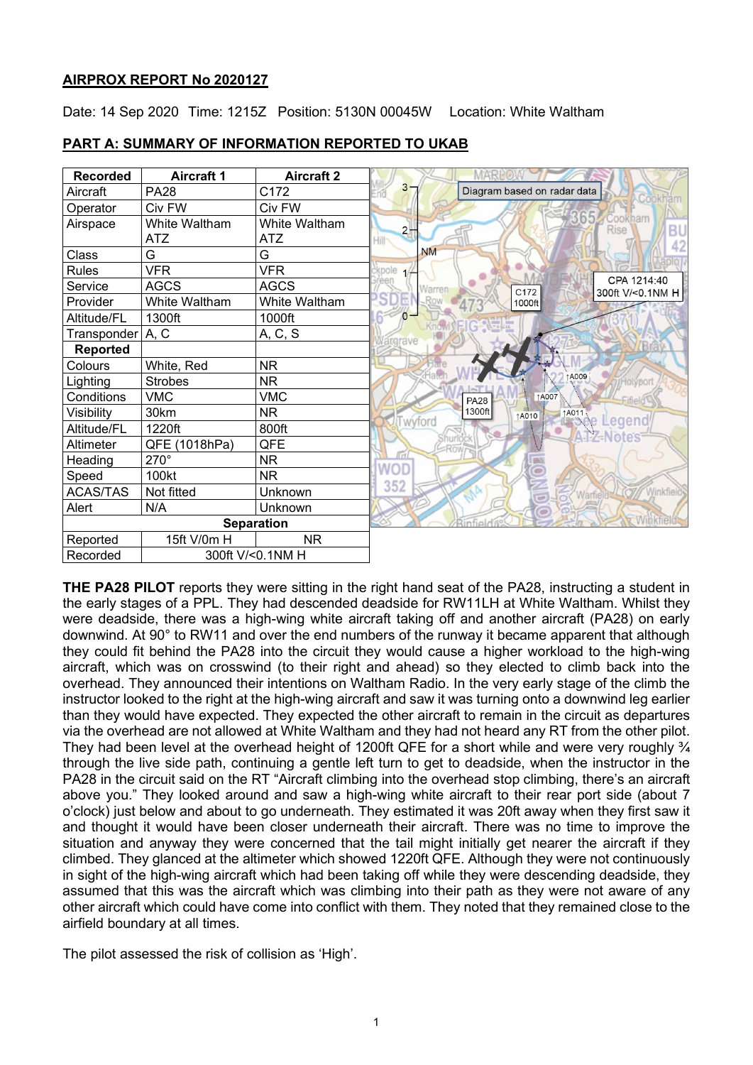## **AIRPROX REPORT No 2020127**

Date: 14 Sep 2020 Time: 1215Z Position: 5130N 00045W Location: White Waltham

| <b>Recorded</b>   | <b>Aircraft 1</b> | <b>Aircraft 2</b> |                                                                |
|-------------------|-------------------|-------------------|----------------------------------------------------------------|
| Aircraft          | <b>PA28</b>       | C172              | $3 -$<br>Diagram based on radar data                           |
| Operator          | Civ FW            | Civ FW            |                                                                |
| Airspace          | White Waltham     | White Waltham     | 365 Cookham<br>BU<br>2 <sub>1</sub>                            |
|                   | <b>ATZ</b>        | ATZ               | 42                                                             |
| Class             | G                 | G                 | <b>NM</b>                                                      |
| <b>Rules</b>      | <b>VFR</b>        | <b>VFR</b>        | kpole                                                          |
| Service           | <b>AGCS</b>       | <b>AGCS</b>       | CPA 1214:40<br>Narren<br>C <sub>172</sub><br>300ft V/<0.1NM H  |
| Provider          | White Waltham     | White Waltham     | 1000ft                                                         |
| Altitude/FL       | 1300ft            | 1000ft            | $\Omega$                                                       |
| Transponder       | A, C              | A, C, S           | argrave                                                        |
| <b>Reported</b>   |                   |                   |                                                                |
| Colours           | White, Red        | <b>NR</b>         |                                                                |
| Lighting          | <b>Strobes</b>    | <b>NR</b>         | A009<br>Holyport                                               |
| Conditions        | <b>VMC</b>        | <b>VMC</b>        | ↑A007<br><b>PA28</b>                                           |
| Visibility        | 30km              | <b>NR</b>         | 1300ft<br>1 <sup>A011</sup> e Legend<br><b>14010</b><br>wyford |
| Altitude/FL       | 1220ft            | 800ft             | tes                                                            |
| Altimeter         | QFE (1018hPa)     | QFE               |                                                                |
| Heading           | 270°              | <b>NR</b>         | llal                                                           |
| Speed             | 100kt             | <b>NR</b>         | WOD                                                            |
| ACAS/TAS          | Not fitted        | Unknown           | 352<br><b>Winkfield</b><br>Warfield                            |
| Alert             | N/A               | Unknown           |                                                                |
| <b>Separation</b> |                   |                   |                                                                |
| Reported          | 15ft V/0m H       | <b>NR</b>         |                                                                |
| Recorded          | 300ft V/<0.1NM H  |                   |                                                                |

### **PART A: SUMMARY OF INFORMATION REPORTED TO UKAB**

**THE PA28 PILOT** reports they were sitting in the right hand seat of the PA28, instructing a student in the early stages of a PPL. They had descended deadside for RW11LH at White Waltham. Whilst they were deadside, there was a high-wing white aircraft taking off and another aircraft (PA28) on early downwind. At 90° to RW11 and over the end numbers of the runway it became apparent that although they could fit behind the PA28 into the circuit they would cause a higher workload to the high-wing aircraft, which was on crosswind (to their right and ahead) so they elected to climb back into the overhead. They announced their intentions on Waltham Radio. In the very early stage of the climb the instructor looked to the right at the high-wing aircraft and saw it was turning onto a downwind leg earlier than they would have expected. They expected the other aircraft to remain in the circuit as departures via the overhead are not allowed at White Waltham and they had not heard any RT from the other pilot. They had been level at the overhead height of 1200ft QFE for a short while and were very roughly  $\frac{3}{4}$ through the live side path, continuing a gentle left turn to get to deadside, when the instructor in the PA28 in the circuit said on the RT "Aircraft climbing into the overhead stop climbing, there's an aircraft above you." They looked around and saw a high-wing white aircraft to their rear port side (about 7 o'clock) just below and about to go underneath. They estimated it was 20ft away when they first saw it and thought it would have been closer underneath their aircraft. There was no time to improve the situation and anyway they were concerned that the tail might initially get nearer the aircraft if they climbed. They glanced at the altimeter which showed 1220ft QFE. Although they were not continuously in sight of the high-wing aircraft which had been taking off while they were descending deadside, they assumed that this was the aircraft which was climbing into their path as they were not aware of any other aircraft which could have come into conflict with them. They noted that they remained close to the airfield boundary at all times.

The pilot assessed the risk of collision as 'High'.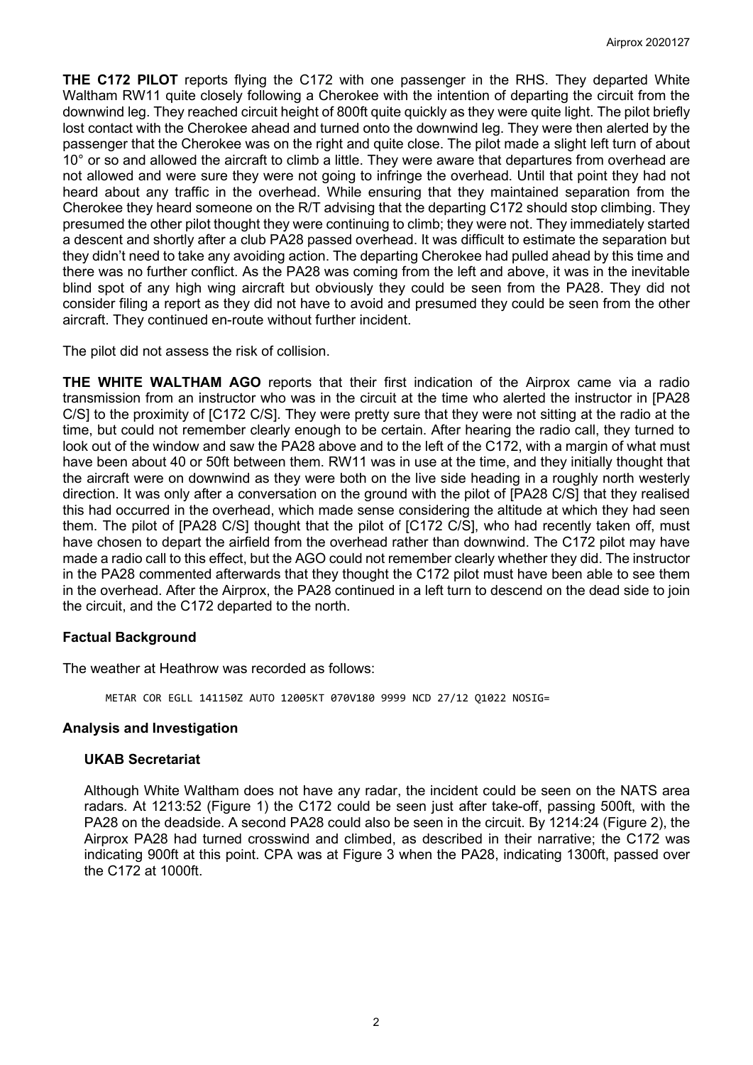**THE C172 PILOT** reports flying the C172 with one passenger in the RHS. They departed White Waltham RW11 quite closely following a Cherokee with the intention of departing the circuit from the downwind leg. They reached circuit height of 800ft quite quickly as they were quite light. The pilot briefly lost contact with the Cherokee ahead and turned onto the downwind leg. They were then alerted by the passenger that the Cherokee was on the right and quite close. The pilot made a slight left turn of about 10° or so and allowed the aircraft to climb a little. They were aware that departures from overhead are not allowed and were sure they were not going to infringe the overhead. Until that point they had not heard about any traffic in the overhead. While ensuring that they maintained separation from the Cherokee they heard someone on the R/T advising that the departing C172 should stop climbing. They presumed the other pilot thought they were continuing to climb; they were not. They immediately started a descent and shortly after a club PA28 passed overhead. It was difficult to estimate the separation but they didn't need to take any avoiding action. The departing Cherokee had pulled ahead by this time and there was no further conflict. As the PA28 was coming from the left and above, it was in the inevitable blind spot of any high wing aircraft but obviously they could be seen from the PA28. They did not consider filing a report as they did not have to avoid and presumed they could be seen from the other aircraft. They continued en-route without further incident.

The pilot did not assess the risk of collision.

**THE WHITE WALTHAM AGO** reports that their first indication of the Airprox came via a radio transmission from an instructor who was in the circuit at the time who alerted the instructor in [PA28 C/S] to the proximity of [C172 C/S]. They were pretty sure that they were not sitting at the radio at the time, but could not remember clearly enough to be certain. After hearing the radio call, they turned to look out of the window and saw the PA28 above and to the left of the C172, with a margin of what must have been about 40 or 50ft between them. RW11 was in use at the time, and they initially thought that the aircraft were on downwind as they were both on the live side heading in a roughly north westerly direction. It was only after a conversation on the ground with the pilot of [PA28 C/S] that they realised this had occurred in the overhead, which made sense considering the altitude at which they had seen them. The pilot of [PA28 C/S] thought that the pilot of [C172 C/S], who had recently taken off, must have chosen to depart the airfield from the overhead rather than downwind. The C172 pilot may have made a radio call to this effect, but the AGO could not remember clearly whether they did. The instructor in the PA28 commented afterwards that they thought the C172 pilot must have been able to see them in the overhead. After the Airprox, the PA28 continued in a left turn to descend on the dead side to join the circuit, and the C172 departed to the north.

## **Factual Background**

The weather at Heathrow was recorded as follows:

METAR COR EGLL 141150Z AUTO 12005KT 070V180 9999 NCD 27/12 Q1022 NOSIG=

## **Analysis and Investigation**

#### **UKAB Secretariat**

Although White Waltham does not have any radar, the incident could be seen on the NATS area radars. At 1213:52 (Figure 1) the C172 could be seen just after take-off, passing 500ft, with the PA28 on the deadside. A second PA28 could also be seen in the circuit. By 1214:24 (Figure 2), the Airprox PA28 had turned crosswind and climbed, as described in their narrative; the C172 was indicating 900ft at this point. CPA was at Figure 3 when the PA28, indicating 1300ft, passed over the C172 at 1000ft.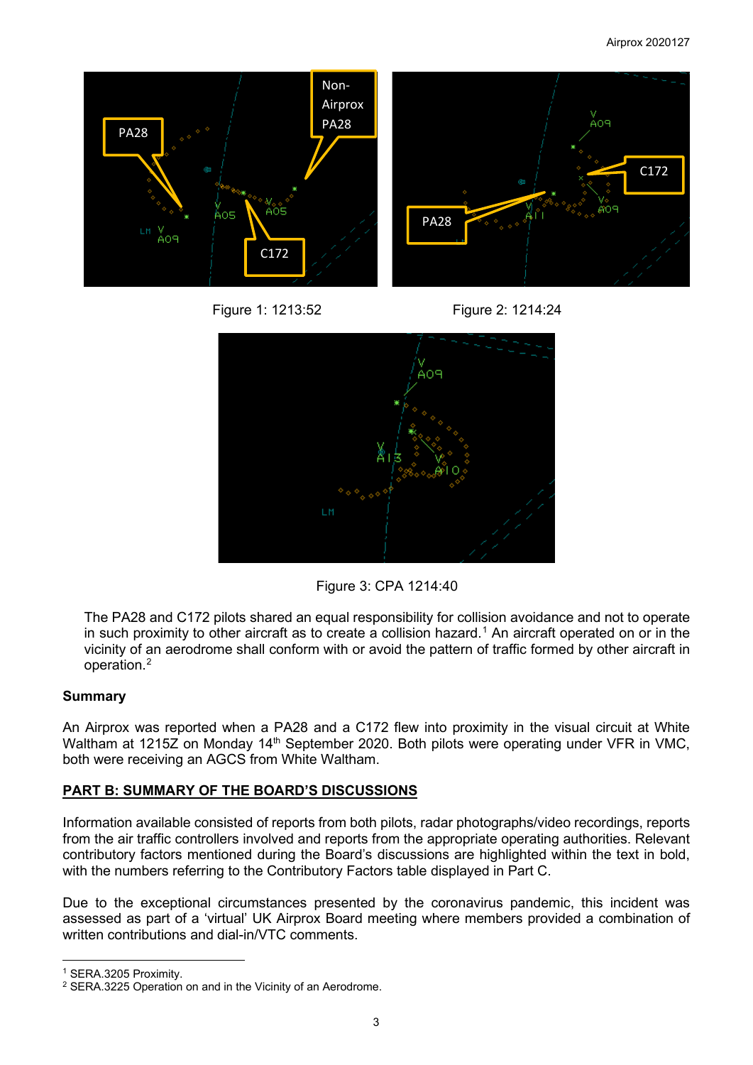





Figure 3: CPA 1214:40

The PA28 and C172 pilots shared an equal responsibility for collision avoidance and not to operate in such proximity to other aircraft as to create a collision hazard.<sup>[1](#page-2-0)</sup> An aircraft operated on or in the vicinity of an aerodrome shall conform with or avoid the pattern of traffic formed by other aircraft in operation. [2](#page-2-1)

# **Summary**

An Airprox was reported when a PA28 and a C172 flew into proximity in the visual circuit at White Waltham at 1215Z on Monday 14<sup>th</sup> September 2020. Both pilots were operating under VFR in VMC. both were receiving an AGCS from White Waltham.

# **PART B: SUMMARY OF THE BOARD'S DISCUSSIONS**

Information available consisted of reports from both pilots, radar photographs/video recordings, reports from the air traffic controllers involved and reports from the appropriate operating authorities. Relevant contributory factors mentioned during the Board's discussions are highlighted within the text in bold, with the numbers referring to the Contributory Factors table displayed in Part C.

Due to the exceptional circumstances presented by the coronavirus pandemic, this incident was assessed as part of a 'virtual' UK Airprox Board meeting where members provided a combination of written contributions and dial-in/VTC comments.

<span id="page-2-0"></span><sup>1</sup> SERA.3205 Proximity.

<span id="page-2-1"></span><sup>2</sup> SERA.3225 Operation on and in the Vicinity of an Aerodrome.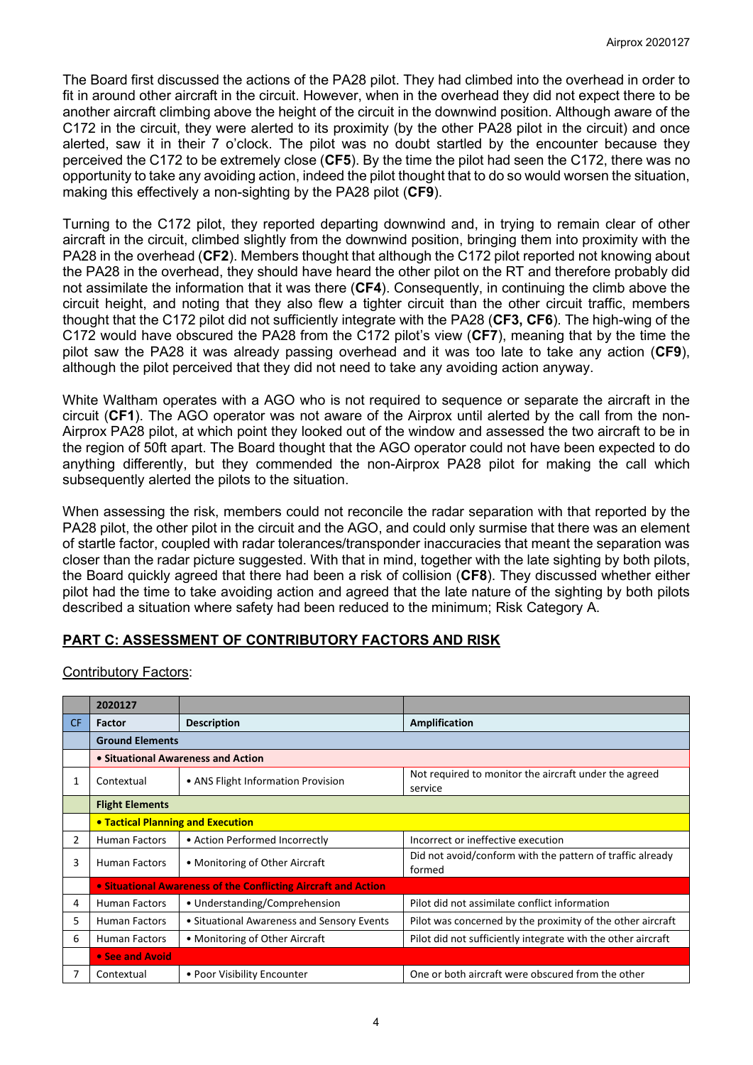The Board first discussed the actions of the PA28 pilot. They had climbed into the overhead in order to fit in around other aircraft in the circuit. However, when in the overhead they did not expect there to be another aircraft climbing above the height of the circuit in the downwind position. Although aware of the C172 in the circuit, they were alerted to its proximity (by the other PA28 pilot in the circuit) and once alerted, saw it in their 7 o'clock. The pilot was no doubt startled by the encounter because they perceived the C172 to be extremely close (**CF5**). By the time the pilot had seen the C172, there was no opportunity to take any avoiding action, indeed the pilot thought that to do so would worsen the situation, making this effectively a non-sighting by the PA28 pilot (**CF9**).

Turning to the C172 pilot, they reported departing downwind and, in trying to remain clear of other aircraft in the circuit, climbed slightly from the downwind position, bringing them into proximity with the PA28 in the overhead (**CF2**). Members thought that although the C172 pilot reported not knowing about the PA28 in the overhead, they should have heard the other pilot on the RT and therefore probably did not assimilate the information that it was there (**CF4**). Consequently, in continuing the climb above the circuit height, and noting that they also flew a tighter circuit than the other circuit traffic, members thought that the C172 pilot did not sufficiently integrate with the PA28 (**CF3, CF6**). The high-wing of the C172 would have obscured the PA28 from the C172 pilot's view (**CF7**), meaning that by the time the pilot saw the PA28 it was already passing overhead and it was too late to take any action (**CF9**), although the pilot perceived that they did not need to take any avoiding action anyway.

White Waltham operates with a AGO who is not required to sequence or separate the aircraft in the circuit (**CF1**). The AGO operator was not aware of the Airprox until alerted by the call from the non-Airprox PA28 pilot, at which point they looked out of the window and assessed the two aircraft to be in the region of 50ft apart. The Board thought that the AGO operator could not have been expected to do anything differently, but they commended the non-Airprox PA28 pilot for making the call which subsequently alerted the pilots to the situation.

When assessing the risk, members could not reconcile the radar separation with that reported by the PA28 pilot, the other pilot in the circuit and the AGO, and could only surmise that there was an element of startle factor, coupled with radar tolerances/transponder inaccuracies that meant the separation was closer than the radar picture suggested. With that in mind, together with the late sighting by both pilots, the Board quickly agreed that there had been a risk of collision (**CF8**). They discussed whether either pilot had the time to take avoiding action and agreed that the late nature of the sighting by both pilots described a situation where safety had been reduced to the minimum; Risk Category A.

# **PART C: ASSESSMENT OF CONTRIBUTORY FACTORS AND RISK**

| 2020127                                                        |                                            |                                                                     |  |  |  |
|----------------------------------------------------------------|--------------------------------------------|---------------------------------------------------------------------|--|--|--|
| Factor                                                         | <b>Description</b>                         | Amplification                                                       |  |  |  |
| <b>Ground Elements</b>                                         |                                            |                                                                     |  |  |  |
| • Situational Awareness and Action                             |                                            |                                                                     |  |  |  |
| Contextual                                                     | • ANS Flight Information Provision         | Not required to monitor the aircraft under the agreed<br>service    |  |  |  |
| <b>Flight Elements</b>                                         |                                            |                                                                     |  |  |  |
| <b>• Tactical Planning and Execution</b>                       |                                            |                                                                     |  |  |  |
| <b>Human Factors</b>                                           | • Action Performed Incorrectly             | Incorrect or ineffective execution                                  |  |  |  |
| <b>Human Factors</b>                                           | • Monitoring of Other Aircraft             | Did not avoid/conform with the pattern of traffic already<br>formed |  |  |  |
| • Situational Awareness of the Conflicting Aircraft and Action |                                            |                                                                     |  |  |  |
| <b>Human Factors</b>                                           | • Understanding/Comprehension              | Pilot did not assimilate conflict information                       |  |  |  |
| Human Factors                                                  | • Situational Awareness and Sensory Events | Pilot was concerned by the proximity of the other aircraft          |  |  |  |
| Human Factors                                                  | • Monitoring of Other Aircraft             | Pilot did not sufficiently integrate with the other aircraft        |  |  |  |
| • See and Avoid                                                |                                            |                                                                     |  |  |  |
| Contextual                                                     | • Poor Visibility Encounter                | One or both aircraft were obscured from the other                   |  |  |  |
|                                                                |                                            |                                                                     |  |  |  |

Contributory Factors: